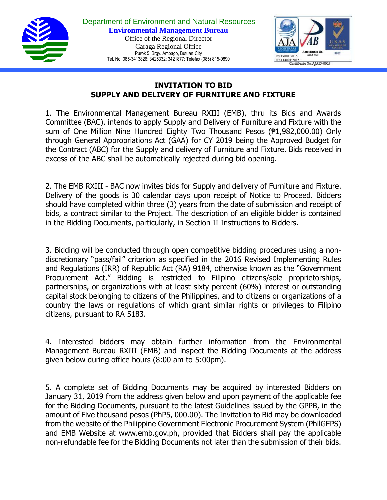

Department of Environment and Natural Resources **Environmental Management Bureau** Office of the Regional Director Caraga Regional Office Purok 5, Brgy. Ambago, Butuan City Tel. No. 085-3413826; 3425332; 3421877; Telefax (085) 815-0890



## **INVITATION TO BID SUPPLY AND DELIVERY OF FURNITURE AND FIXTURE**

1. The Environmental Management Bureau RXIII (EMB), thru its Bids and Awards Committee (BAC), intends to apply Supply and Delivery of Furniture and Fixture with the sum of One Million Nine Hundred Eighty Two Thousand Pesos (₱1,982,000.00) Only through General Appropriations Act (GAA) for CY 2019 being the Approved Budget for the Contract (ABC) for the Supply and delivery of Furniture and Fixture. Bids received in excess of the ABC shall be automatically rejected during bid opening.

2. The EMB RXIII - BAC now invites bids for Supply and delivery of Furniture and Fixture. Delivery of the goods is 30 calendar days upon receipt of Notice to Proceed. Bidders should have completed within three (3) years from the date of submission and receipt of bids, a contract similar to the Project. The description of an eligible bidder is contained in the Bidding Documents, particularly, in Section II Instructions to Bidders.

3. Bidding will be conducted through open competitive bidding procedures using a nondiscretionary "pass/fail" criterion as specified in the 2016 Revised Implementing Rules and Regulations (IRR) of Republic Act (RA) 9184, otherwise known as the "Government Procurement Act." Bidding is restricted to Filipino citizens/sole proprietorships, partnerships, or organizations with at least sixty percent (60%) interest or outstanding capital stock belonging to citizens of the Philippines, and to citizens or organizations of a country the laws or regulations of which grant similar rights or privileges to Filipino citizens, pursuant to RA 5183.

4. Interested bidders may obtain further information from the Environmental Management Bureau RXIII (EMB) and inspect the Bidding Documents at the address given below during office hours (8:00 am to 5:00pm).

5. A complete set of Bidding Documents may be acquired by interested Bidders on January 31, 2019 from the address given below and upon payment of the applicable fee for the Bidding Documents, pursuant to the latest Guidelines issued by the GPPB, in the amount of Five thousand pesos (PhP5, 000.00). The Invitation to Bid may be downloaded from the website of the Philippine Government Electronic Procurement System (PhilGEPS) and EMB Website at www.emb.gov.ph, provided that Bidders shall pay the applicable non-refundable fee for the Bidding Documents not later than the submission of their bids.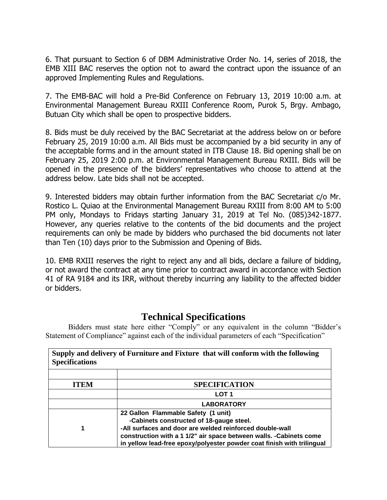6. That pursuant to Section 6 of DBM Administrative Order No. 14, series of 2018, the EMB XIII BAC reserves the option not to award the contract upon the issuance of an approved Implementing Rules and Regulations.

7. The EMB-BAC will hold a Pre-Bid Conference on February 13, 2019 10:00 a.m. at Environmental Management Bureau RXIII Conference Room, Purok 5, Brgy. Ambago, Butuan City which shall be open to prospective bidders.

8. Bids must be duly received by the BAC Secretariat at the address below on or before February 25, 2019 10:00 a.m. All Bids must be accompanied by a bid security in any of the acceptable forms and in the amount stated in ITB Clause 18. Bid opening shall be on February 25, 2019 2:00 p.m. at Environmental Management Bureau RXIII. Bids will be opened in the presence of the bidders' representatives who choose to attend at the address below. Late bids shall not be accepted.

9. Interested bidders may obtain further information from the BAC Secretariat c/o Mr. Rostico L. Quiao at the Environmental Management Bureau RXIII from 8:00 AM to 5:00 PM only, Mondays to Fridays starting January 31, 2019 at Tel No. (085)342-1877. However, any queries relative to the contents of the bid documents and the project requirements can only be made by bidders who purchased the bid documents not later than Ten (10) days prior to the Submission and Opening of Bids.

10. EMB RXIII reserves the right to reject any and all bids, declare a failure of bidding, or not award the contract at any time prior to contract award in accordance with Section 41 of RA 9184 and its IRR, without thereby incurring any liability to the affected bidder or bidders.

## **Technical Specifications**

Bidders must state here either "Comply" or any equivalent in the column "Bidder's Statement of Compliance" against each of the individual parameters of each "Specification"

| Supply and delivery of Furniture and Fixture that will conform with the following<br><b>Specifications</b> |                                                                                                                                                                                                                                                                                              |
|------------------------------------------------------------------------------------------------------------|----------------------------------------------------------------------------------------------------------------------------------------------------------------------------------------------------------------------------------------------------------------------------------------------|
| <b>ITEM</b>                                                                                                | <b>SPECIFICATION</b>                                                                                                                                                                                                                                                                         |
|                                                                                                            | LOT <sub>1</sub>                                                                                                                                                                                                                                                                             |
|                                                                                                            | <b>LABORATORY</b>                                                                                                                                                                                                                                                                            |
|                                                                                                            | 22 Gallon Flammable Safety (1 unit)<br>-Cabinets constructed of 18-gauge steel.<br>-All surfaces and door are welded reinforced double-wall<br>construction with a 1 1/2" air space between walls. - Cabinets come<br>in yellow lead-free epoxy/polyester powder coat finish with trilingual |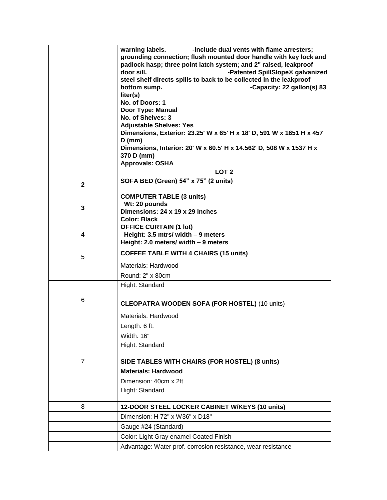|                | warning labels.<br>-include dual vents with flame arresters;<br>grounding connection; flush mounted door handle with key lock and<br>padlock hasp; three point latch system; and 2" raised, leakproof<br>door sill.<br>-Patented SpillSlope® galvanized<br>steel shelf directs spills to back to be collected in the leakproof<br>-Capacity: 22 gallon(s) 83<br>bottom sump.<br>liter(s)<br>No. of Doors: 1<br>Door Type: Manual<br>No. of Shelves: 3<br><b>Adjustable Shelves: Yes</b><br>Dimensions, Exterior: 23.25' W x 65' H x 18' D, 591 W x 1651 H x 457<br>$D$ (mm)<br>Dimensions, Interior: 20' W x 60.5' H x 14.562' D, 508 W x 1537 H x<br>370 D (mm)<br><b>Approvals: OSHA</b> |
|----------------|--------------------------------------------------------------------------------------------------------------------------------------------------------------------------------------------------------------------------------------------------------------------------------------------------------------------------------------------------------------------------------------------------------------------------------------------------------------------------------------------------------------------------------------------------------------------------------------------------------------------------------------------------------------------------------------------|
|                | LOT <sub>2</sub>                                                                                                                                                                                                                                                                                                                                                                                                                                                                                                                                                                                                                                                                           |
| $\mathbf{2}$   | SOFA BED (Green) 54" x 75" (2 units)                                                                                                                                                                                                                                                                                                                                                                                                                                                                                                                                                                                                                                                       |
| 3              | <b>COMPUTER TABLE (3 units)</b><br>Wt: 20 pounds<br>Dimensions: 24 x 19 x 29 inches<br><b>Color: Black</b>                                                                                                                                                                                                                                                                                                                                                                                                                                                                                                                                                                                 |
| 4              | <b>OFFICE CURTAIN (1 lot)</b><br>Height: 3.5 mtrs/ width - 9 meters<br>Height: 2.0 meters/ width - 9 meters                                                                                                                                                                                                                                                                                                                                                                                                                                                                                                                                                                                |
| 5              | <b>COFFEE TABLE WITH 4 CHAIRS (15 units)</b>                                                                                                                                                                                                                                                                                                                                                                                                                                                                                                                                                                                                                                               |
|                | Materials: Hardwood                                                                                                                                                                                                                                                                                                                                                                                                                                                                                                                                                                                                                                                                        |
|                | Round: 2" x 80cm                                                                                                                                                                                                                                                                                                                                                                                                                                                                                                                                                                                                                                                                           |
|                | Hight: Standard                                                                                                                                                                                                                                                                                                                                                                                                                                                                                                                                                                                                                                                                            |
| 6              | <b>CLEOPATRA WOODEN SOFA (FOR HOSTEL) (10 units)</b>                                                                                                                                                                                                                                                                                                                                                                                                                                                                                                                                                                                                                                       |
|                | Materials: Hardwood                                                                                                                                                                                                                                                                                                                                                                                                                                                                                                                                                                                                                                                                        |
|                | Length: 6 ft.                                                                                                                                                                                                                                                                                                                                                                                                                                                                                                                                                                                                                                                                              |
|                | Width: 16"                                                                                                                                                                                                                                                                                                                                                                                                                                                                                                                                                                                                                                                                                 |
|                | Hight: Standard                                                                                                                                                                                                                                                                                                                                                                                                                                                                                                                                                                                                                                                                            |
| $\overline{7}$ | SIDE TABLES WITH CHAIRS (FOR HOSTEL) (8 units)                                                                                                                                                                                                                                                                                                                                                                                                                                                                                                                                                                                                                                             |
|                |                                                                                                                                                                                                                                                                                                                                                                                                                                                                                                                                                                                                                                                                                            |
|                | <b>Materials: Hardwood</b>                                                                                                                                                                                                                                                                                                                                                                                                                                                                                                                                                                                                                                                                 |
|                | Dimension: 40cm x 2ft                                                                                                                                                                                                                                                                                                                                                                                                                                                                                                                                                                                                                                                                      |
|                | Hight: Standard                                                                                                                                                                                                                                                                                                                                                                                                                                                                                                                                                                                                                                                                            |
| 8              | 12-DOOR STEEL LOCKER CABINET W/KEYS (10 units)                                                                                                                                                                                                                                                                                                                                                                                                                                                                                                                                                                                                                                             |
|                | Dimension: H 72" x W36" x D18"                                                                                                                                                                                                                                                                                                                                                                                                                                                                                                                                                                                                                                                             |
|                | Gauge #24 (Standard)                                                                                                                                                                                                                                                                                                                                                                                                                                                                                                                                                                                                                                                                       |
|                | Color: Light Gray enamel Coated Finish                                                                                                                                                                                                                                                                                                                                                                                                                                                                                                                                                                                                                                                     |